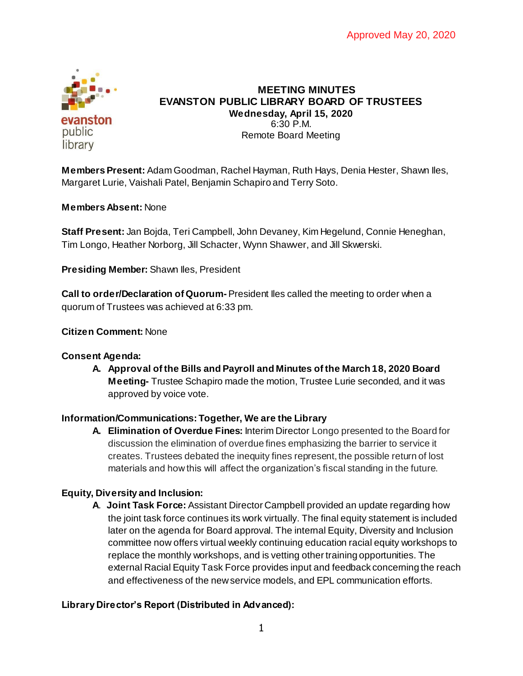

#### **MEETING MINUTES EVANSTON PUBLIC LIBRARY BOARD OF TRUSTEES Wednesday, April 15, 2020** 6:30 P.M. Remote Board Meeting

**Members Present:** Adam Goodman, Rachel Hayman, Ruth Hays, Denia Hester, Shawn Iles, Margaret Lurie, Vaishali Patel, Benjamin Schapiro and Terry Soto.

#### **Members Absent:** None

**Staff Present:** Jan Bojda, Teri Campbell, John Devaney, Kim Hegelund, Connie Heneghan, Tim Longo, Heather Norborg, Jill Schacter, Wynn Shawver, and Jill Skwerski.

**Presiding Member:** Shawn Iles, President

**Call to order/Declaration of Quorum-** President Iles called the meeting to order when a quorum of Trustees was achieved at 6:33 pm.

#### **Citizen Comment:** None

#### **Consent Agenda:**

**A. Approval of the Bills and Payroll and Minutes of the March 18, 2020 Board Meeting-** Trustee Schapiro made the motion, Trustee Lurie seconded, and it was approved by voice vote.

#### **Information/Communications: Together, We are the Library**

**A. Elimination of Overdue Fines:** Interim Director Longo presented to the Board for discussion the elimination of overdue fines emphasizing the barrier to service it creates. Trustees debated the inequity fines represent, the possible return of lost materials and how this will affect the organization's fiscal standing in the future.

#### **Equity, Diversity and Inclusion:**

**A**. **Joint Task Force:** Assistant Director Campbell provided an update regarding how the joint task force continues its work virtually. The final equity statement is included later on the agenda for Board approval. The internal Equity, Diversity and Inclusion committee now offers virtual weekly continuing education racial equity workshops to replace the monthly workshops, and is vetting other training opportunities. The external Racial Equity Task Force provides input and feedback concerning the reach and effectiveness of the new service models, and EPL communication efforts.

#### **Library Director's Report (Distributed in Advanced):**